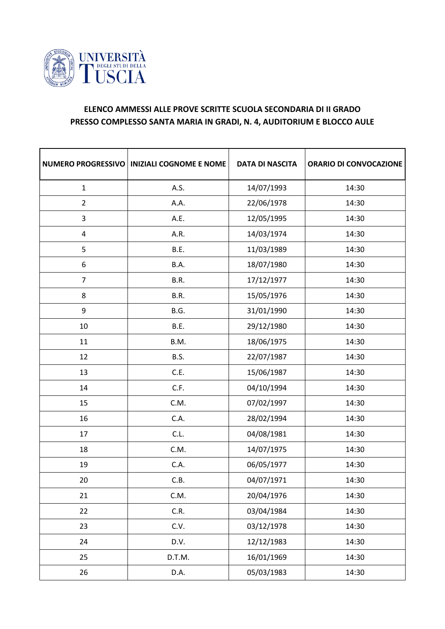

## **ELENCO AMMESSI ALLE PROVE SCRITTE SCUOLA SECONDARIA DI II GRADO PRESSO COMPLESSO SANTA MARIA IN GRADI, N. 4, AUDITORIUM E BLOCCO AULE**

| <b>NUMERO PROGRESSIVO</b> | <b>INIZIALI COGNOME E NOME</b> | <b>DATA DI NASCITA</b> | <b>ORARIO DI CONVOCAZIONE</b> |
|---------------------------|--------------------------------|------------------------|-------------------------------|
| $\mathbf{1}$              | A.S.                           | 14/07/1993             | 14:30                         |
| $\overline{2}$            | A.A.                           | 22/06/1978             | 14:30                         |
| 3                         | A.E.                           | 12/05/1995             | 14:30                         |
| $\overline{\mathbf{4}}$   | A.R.                           | 14/03/1974             | 14:30                         |
| 5                         | B.E.                           | 11/03/1989             | 14:30                         |
| 6                         | B.A.                           | 18/07/1980             | 14:30                         |
| $\overline{7}$            | B.R.                           | 17/12/1977             | 14:30                         |
| 8                         | B.R.                           | 15/05/1976             | 14:30                         |
| 9                         | B.G.                           | 31/01/1990             | 14:30                         |
| 10                        | B.E.                           | 29/12/1980             | 14:30                         |
| 11                        | B.M.                           | 18/06/1975             | 14:30                         |
| 12                        | B.S.                           | 22/07/1987             | 14:30                         |
| 13                        | C.E.                           | 15/06/1987             | 14:30                         |
| 14                        | C.F.                           | 04/10/1994             | 14:30                         |
| 15                        | C.M.                           | 07/02/1997             | 14:30                         |
| 16                        | C.A.                           | 28/02/1994             | 14:30                         |
| 17                        | C.L.                           | 04/08/1981             | 14:30                         |
| 18                        | C.M.                           | 14/07/1975             | 14:30                         |
| 19                        | C.A.                           | 06/05/1977             | 14:30                         |
| 20                        | C.B.                           | 04/07/1971             | 14:30                         |
| 21                        | C.M.                           | 20/04/1976             | 14:30                         |
| 22                        | C.R.                           | 03/04/1984             | 14:30                         |
| 23                        | C.V.                           | 03/12/1978             | 14:30                         |
| 24                        | D.V.                           | 12/12/1983             | 14:30                         |
| 25                        | D.T.M.                         | 16/01/1969             | 14:30                         |
| 26                        | D.A.                           | 05/03/1983             | 14:30                         |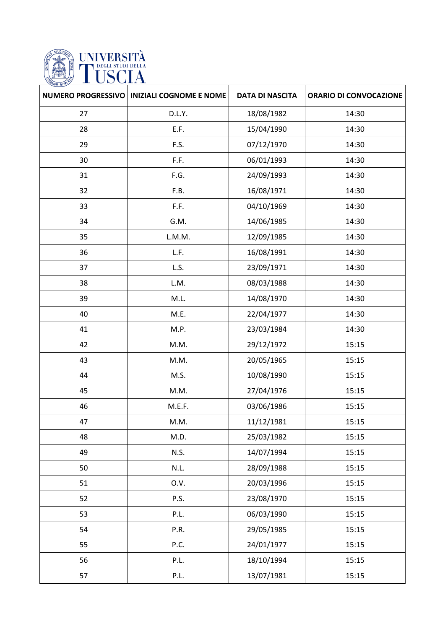

|    | NUMERO PROGRESSIVO   INIZIALI COGNOME E NOME | <b>DATA DI NASCITA</b> | <b>ORARIO DI CONVOCAZIONE</b> |
|----|----------------------------------------------|------------------------|-------------------------------|
| 27 | D.L.Y.                                       | 18/08/1982             | 14:30                         |
| 28 | E.F.                                         | 15/04/1990             | 14:30                         |
| 29 | F.S.                                         | 07/12/1970             | 14:30                         |
| 30 | F.F.                                         | 06/01/1993             | 14:30                         |
| 31 | F.G.                                         | 24/09/1993             | 14:30                         |
| 32 | F.B.                                         | 16/08/1971             | 14:30                         |
| 33 | F.F.                                         | 04/10/1969             | 14:30                         |
| 34 | G.M.                                         | 14/06/1985             | 14:30                         |
| 35 | L.M.M.                                       | 12/09/1985             | 14:30                         |
| 36 | L.F.                                         | 16/08/1991             | 14:30                         |
| 37 | L.S.                                         | 23/09/1971             | 14:30                         |
| 38 | L.M.                                         | 08/03/1988             | 14:30                         |
| 39 | M.L.                                         | 14/08/1970             | 14:30                         |
| 40 | M.E.                                         | 22/04/1977             | 14:30                         |
| 41 | M.P.                                         | 23/03/1984             | 14:30                         |
| 42 | M.M.                                         | 29/12/1972             | 15:15                         |
| 43 | M.M.                                         | 20/05/1965             | 15:15                         |
| 44 | M.S.                                         | 10/08/1990             | 15:15                         |
| 45 | M.M.                                         | 27/04/1976             | 15:15                         |
| 46 | M.E.F.                                       | 03/06/1986             | 15:15                         |
| 47 | M.M.                                         | 11/12/1981             | 15:15                         |
| 48 | M.D.                                         | 25/03/1982             | 15:15                         |
| 49 | <b>N.S.</b>                                  | 14/07/1994             | 15:15                         |
| 50 | N.L.                                         | 28/09/1988             | 15:15                         |
| 51 | 0.V.                                         | 20/03/1996             | 15:15                         |
| 52 | P.S.                                         | 23/08/1970             | 15:15                         |
| 53 | P.L.                                         | 06/03/1990             | 15:15                         |
| 54 | P.R.                                         | 29/05/1985             | 15:15                         |
| 55 | P.C.                                         | 24/01/1977             | 15:15                         |
| 56 | P.L.                                         | 18/10/1994             | 15:15                         |
| 57 | P.L.                                         | 13/07/1981             | 15:15                         |